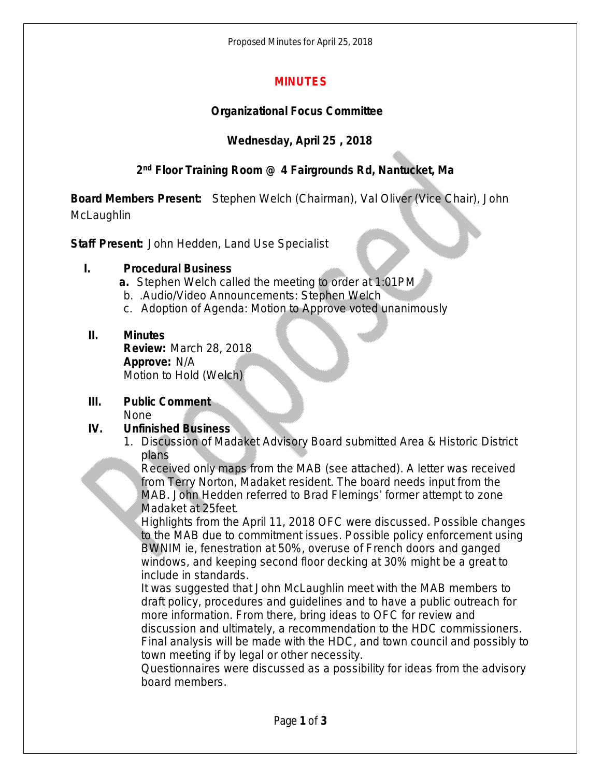Proposed Minutes for April 25, 2018

## **MINUTES**

## **Organizational Focus Committee**

## **Wednesday, April 25 , 2018**

## **2 nd Floor Training Room @ 4 Fairgrounds Rd, Nantucket, Ma**

**Board Members Present:** Stephen Welch (Chairman), Val Oliver (Vice Chair), John **McLaughlin** 

**Staff Present:** John Hedden, Land Use Specialist

#### **I. Procedural Business**

**a.** Stephen Welch called the meeting to order at 1:01PM

- b. .Audio/Video Announcements: Stephen Welch
- c. Adoption of Agenda: Motion to Approve voted unanimously

## **II. Minutes**

**Review:** March 28, 2018 **Approve:** N/A Motion to Hold (Welch)

# **III. Public Comment**

None

# **IV. Unfinished Business**

1. Discussion of Madaket Advisory Board submitted Area & Historic District plans

Received only maps from the MAB (see attached). A letter was received from Terry Norton, Madaket resident. The board needs input from the MAB. John Hedden referred to Brad Flemings' former attempt to zone Madaket at 25feet.

Highlights from the April 11, 2018 OFC were discussed. Possible changes to the MAB due to commitment issues. Possible policy enforcement using BWNIM ie, fenestration at 50%, overuse of French doors and ganged windows, and keeping second floor decking at 30% might be a great to include in standards.

It was suggested that John McLaughlin meet with the MAB members to draft policy, procedures and guidelines and to have a public outreach for more information. From there, bring ideas to OFC for review and discussion and ultimately, a recommendation to the HDC commissioners. Final analysis will be made with the HDC, and town council and possibly to town meeting if by legal or other necessity.

Questionnaires were discussed as a possibility for ideas from the advisory board members.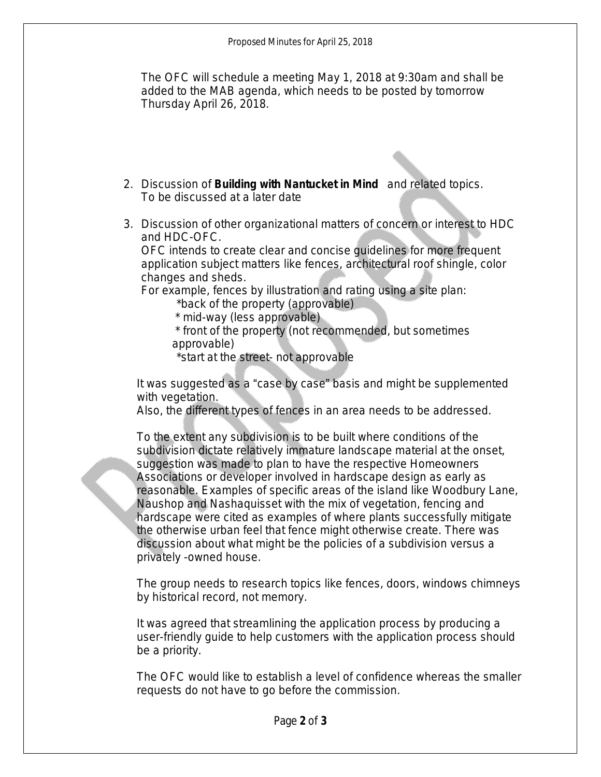The OFC will schedule a meeting May 1, 2018 at 9:30am and shall be added to the MAB agenda, which needs to be posted by tomorrow Thursday April 26, 2018.

- 2. Discussion of *Building with Nantucket in Mind* and related topics. To be discussed at a later date
- 3. Discussion of other organizational matters of concern or interest to HDC and HDC-OFC.

OFC intends to create clear and concise guidelines for more frequent application subject matters like fences, architectural roof shingle, color changes and sheds.

For example, fences by illustration and rating using a site plan:

\*back of the property (approvable)

\* mid-way (less approvable)

 \* front of the property (not recommended, but sometimes approvable)

\*start at the street- not approvable

It was suggested as a "case by case" basis and might be supplemented with vegetation.

Also, the different types of fences in an area needs to be addressed.

To the extent any subdivision is to be built where conditions of the subdivision dictate relatively immature landscape material at the onset, suggestion was made to plan to have the respective Homeowners Associations or developer involved in hardscape design as early as reasonable. Examples of specific areas of the island like Woodbury Lane, Naushop and Nashaquisset with the mix of vegetation, fencing and hardscape were cited as examples of where plants successfully mitigate the otherwise urban feel that fence might otherwise create. There was discussion about what might be the policies of a subdivision versus a privately -owned house.

The group needs to research topics like fences, doors, windows chimneys by historical record, not memory.

It was agreed that streamlining the application process by producing a user-friendly guide to help customers with the application process should be a priority.

The OFC would like to establish a level of confidence whereas the smaller requests do not have to go before the commission.